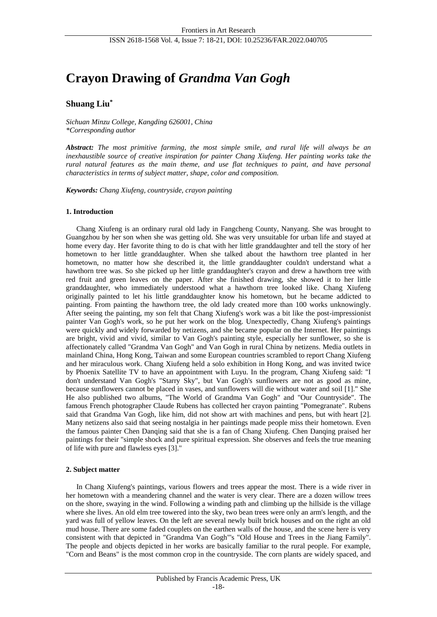# **Crayon Drawing of** *Grandma Van Gogh*

# **Shuang Liu\***

*Sichuan Minzu College, Kangding 626001, China \*Corresponding author*

*Abstract: The most primitive farming, the most simple smile, and rural life will always be an inexhaustible source of creative inspiration for painter Chang Xiufeng. Her painting works take the rural natural features as the main theme, and use flat techniques to paint, and have personal characteristics in terms of subject matter, shape, color and composition.*

*Keywords: Chang Xiufeng, countryside, crayon painting*

## **1. Introduction**

Chang Xiufeng is an ordinary rural old lady in Fangcheng County, Nanyang. She was brought to Guangzhou by her son when she was getting old. She was very unsuitable for urban life and stayed at home every day. Her favorite thing to do is chat with her little granddaughter and tell the story of her hometown to her little granddaughter. When she talked about the hawthorn tree planted in her hometown, no matter how she described it, the little granddaughter couldn't understand what a hawthorn tree was. So she picked up her little granddaughter's crayon and drew a hawthorn tree with red fruit and green leaves on the paper. After she finished drawing, she showed it to her little granddaughter, who immediately understood what a hawthorn tree looked like. Chang Xiufeng originally painted to let his little granddaughter know his hometown, but he became addicted to painting. From painting the hawthorn tree, the old lady created more than 100 works unknowingly. After seeing the painting, my son felt that Chang Xiufeng's work was a bit like the post-impressionist painter Van Gogh's work, so he put her work on the blog. Unexpectedly, Chang Xiufeng's paintings were quickly and widely forwarded by netizens, and she became popular on the Internet. Her paintings are bright, vivid and vivid, similar to Van Gogh's painting style, especially her sunflower, so she is affectionately called "Grandma Van Gogh" and Van Gogh in rural China by netizens. Media outlets in mainland China, Hong Kong, Taiwan and some European countries scrambled to report Chang Xiufeng and her miraculous work. Chang Xiufeng held a solo exhibition in Hong Kong, and was invited twice by Phoenix Satellite TV to have an appointment with Luyu. In the program, Chang Xiufeng said: "I don't understand Van Gogh's "Starry Sky", but Van Gogh's sunflowers are not as good as mine, because sunflowers cannot be placed in vases, and sunflowers will die without water and soil [1]." She He also published two albums, "The World of Grandma Van Gogh" and "Our Countryside". The famous French photographer Claude Rubens has collected her crayon painting "Pomegranate". Rubens said that Grandma Van Gogh, like him, did not show art with machines and pens, but with heart [2]. Many netizens also said that seeing nostalgia in her paintings made people miss their hometown. Even the famous painter Chen Danqing said that she is a fan of Chang Xiufeng. Chen Danqing praised her paintings for their "simple shock and pure spiritual expression. She observes and feels the true meaning of life with pure and flawless eyes [3]."

# **2. Subject matter**

In Chang Xiufeng's paintings, various flowers and trees appear the most. There is a wide river in her hometown with a meandering channel and the water is very clear. There are a dozen willow trees on the shore, swaying in the wind. Following a winding path and climbing up the hillside is the village where she lives. An old elm tree towered into the sky, two bean trees were only an arm's length, and the yard was full of yellow leaves. On the left are several newly built brick houses and on the right an old mud house. There are some faded couplets on the earthen walls of the house, and the scene here is very consistent with that depicted in "Grandma Van Gogh"'s "Old House and Trees in the Jiang Family". The people and objects depicted in her works are basically familiar to the rural people. For example, "Corn and Beans" is the most common crop in the countryside. The corn plants are widely spaced, and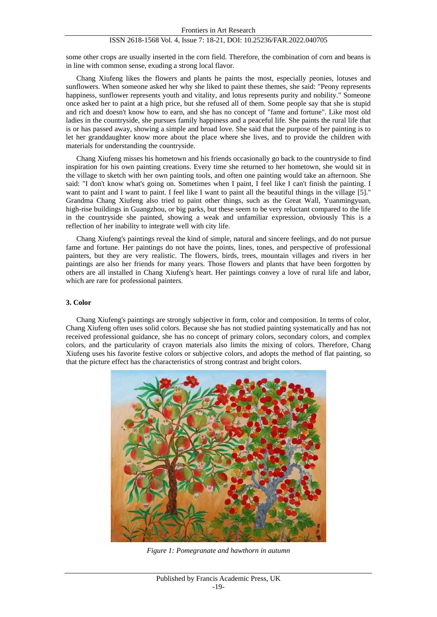# ISSN 2618-1568 Vol. 4, Issue 7: 18-21, DOI: 10.25236/FAR.2022.040705

some other crops are usually inserted in the corn field. Therefore, the combination of corn and beans is in line with common sense, exuding a strong local flavor.

Chang Xiufeng likes the flowers and plants he paints the most, especially peonies, lotuses and sunflowers. When someone asked her why she liked to paint these themes, she said: "Peony represents happiness, sunflower represents youth and vitality, and lotus represents purity and nobility." Someone once asked her to paint at a high price, but she refused all of them. Some people say that she is stupid and rich and doesn't know how to earn, and she has no concept of "fame and fortune". Like most old ladies in the countryside, she pursues family happiness and a peaceful life. She paints the rural life that is or has passed away, showing a simple and broad love. She said that the purpose of her painting is to let her granddaughter know more about the place where she lives, and to provide the children with materials for understanding the countryside.

Chang Xiufeng misses his hometown and his friends occasionally go back to the countryside to find inspiration for his own painting creations. Every time she returned to her hometown, she would sit in the village to sketch with her own painting tools, and often one painting would take an afternoon. She said: "I don't know what's going on. Sometimes when I paint, I feel like I can't finish the painting. I want to paint and I want to paint. I feel like I want to paint all the beautiful things in the village [5]." Grandma Chang Xiufeng also tried to paint other things, such as the Great Wall, Yuanmingyuan, high-rise buildings in Guangzhou, or big parks, but these seem to be very reluctant compared to the life in the countryside she painted, showing a weak and unfamiliar expression, obviously This is a reflection of her inability to integrate well with city life.

Chang Xiufeng's paintings reveal the kind of simple, natural and sincere feelings, and do not pursue fame and fortune. Her paintings do not have the points, lines, tones, and perspective of professional painters, but they are very realistic. The flowers, birds, trees, mountain villages and rivers in her paintings are also her friends for many years. Those flowers and plants that have been forgotten by others are all installed in Chang Xiufeng's heart. Her paintings convey a love of rural life and labor, which are rare for professional painters.

#### **3. Color**

Chang Xiufeng's paintings are strongly subjective in form, color and composition. In terms of color, Chang Xiufeng often uses solid colors. Because she has not studied painting systematically and has not received professional guidance, she has no concept of primary colors, secondary colors, and complex colors, and the particularity of crayon materials also limits the mixing of colors. Therefore, Chang Xiufeng uses his favorite festive colors or subjective colors, and adopts the method of flat painting, so that the picture effect has the characteristics of strong contrast and bright colors.



*Figure 1: Pomegranate and hawthorn in autumn*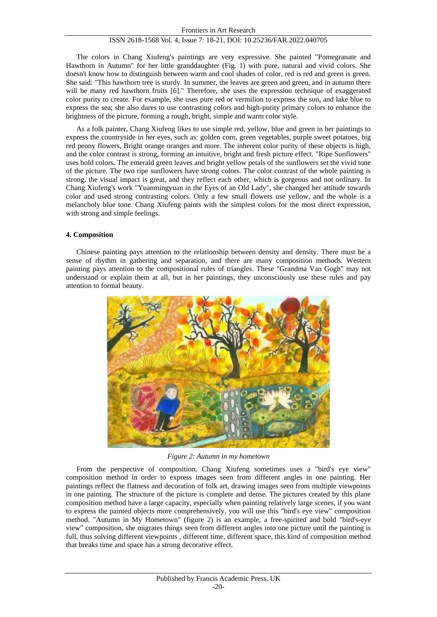# ISSN 2618-1568 Vol. 4, Issue 7: 18-21, DOI: 10.25236/FAR.2022.040705

The colors in Chang Xiufeng's paintings are very expressive. She painted "Pomegranate and Hawthorn in Autumn" for her little granddaughter (Fig. 1) with pure, natural and vivid colors. She doesn't know how to distinguish between warm and cool shades of color, red is red and green is green. She said: "This hawthorn tree is sturdy. In summer, the leaves are green and green, and in autumn there will be many red hawthorn fruits [6]." Therefore, she uses the expression technique of exaggerated color purity to create. For example, she uses pure red or vermilion to express the sun, and lake blue to express the sea; she also dares to use contrasting colors and high-purity primary colors to enhance the brightness of the picture, forming a rough, bright, simple and warm color style.

As a folk painter, Chang Xiufeng likes to use simple red, yellow, blue and green in her paintings to express the countryside in her eyes, such as: golden corn, green vegetables, purple sweet potatoes, big red peony flowers, Bright orange oranges and more. The inherent color purity of these objects is high, and the color contrast is strong, forming an intuitive, bright and fresh picture effect. "Ripe Sunflowers" uses bold colors. The emerald green leaves and bright yellow petals of the sunflowers set the vivid tone of the picture. The two ripe sunflowers have strong colors. The color contrast of the whole painting is strong, the visual impact is great, and they reflect each other, which is gorgeous and not ordinary. In Chang Xiufeng's work "Yuanmingyuan in the Eyes of an Old Lady", she changed her attitude towards color and used strong contrasting colors. Only a few small flowers use yellow, and the whole is a melancholy blue tone. Chang Xiufeng paints with the simplest colors for the most direct expression, with strong and simple feelings.

#### **4. Composition**

Chinese painting pays attention to the relationship between density and density. There must be a sense of rhythm in gathering and separation, and there are many composition methods. Western painting pays attention to the compositional rules of triangles. These "Grandma Van Gogh" may not understand or explain them at all, but in her paintings, they unconsciously use these rules and pay attention to formal beauty.



*Figure 2: Autumn in my hometown*

From the perspective of composition, Chang Xiufeng sometimes uses a "bird's eye view" composition method in order to express images seen from different angles in one painting. Her paintings reflect the flatness and decoration of folk art, drawing images seen from multiple viewpoints in one painting. The structure of the picture is complete and dense. The pictures created by this plane composition method have a large capacity, especially when painting relatively large scenes, if you want to express the painted objects more comprehensively, you will use this "bird's eye view" composition method. "Autumn in My Hometown" (figure 2) is an example, a free-spirited and bold "bird's-eye view" composition, she migrates things seen from different angles into one picture until the painting is full, thus solving different viewpoints , different time, different space, this kind of composition method that breaks time and space has a strong decorative effect.